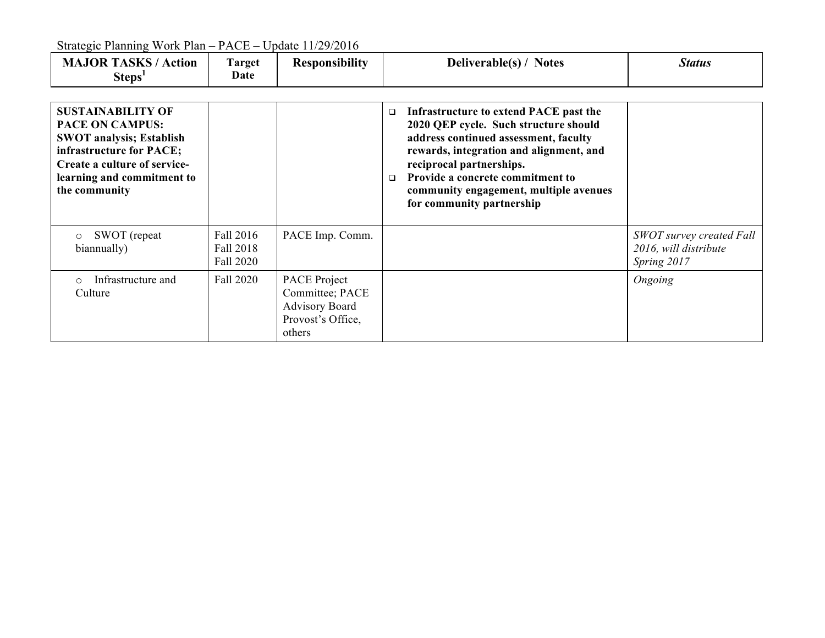| <b>MAJOR TASKS / Action</b><br>Steps <sup>1</sup>                                                                                                                                                | Target<br>Date                      | <b>Responsibility</b>                                                                   | Deliverable(s) / Notes                                                                                                                                                                                                                                                                                                         | <b>Status</b>                                                           |
|--------------------------------------------------------------------------------------------------------------------------------------------------------------------------------------------------|-------------------------------------|-----------------------------------------------------------------------------------------|--------------------------------------------------------------------------------------------------------------------------------------------------------------------------------------------------------------------------------------------------------------------------------------------------------------------------------|-------------------------------------------------------------------------|
| <b>SUSTAINABILITY OF</b><br><b>PACE ON CAMPUS:</b><br><b>SWOT analysis; Establish</b><br>infrastructure for PACE;<br>Create a culture of service-<br>learning and commitment to<br>the community |                                     |                                                                                         | Infrastructure to extend PACE past the<br>$\Box$<br>2020 QEP cycle. Such structure should<br>address continued assessment, faculty<br>rewards, integration and alignment, and<br>reciprocal partnerships.<br>Provide a concrete commitment to<br>$\Box$<br>community engagement, multiple avenues<br>for community partnership |                                                                         |
| SWOT (repeat)<br>$\circ$<br>biannually)                                                                                                                                                          | Fall 2016<br>Fall 2018<br>Fall 2020 | PACE Imp. Comm.                                                                         |                                                                                                                                                                                                                                                                                                                                | <b>SWOT</b> survey created Fall<br>2016, will distribute<br>Spring 2017 |
| Infrastructure and<br>Culture                                                                                                                                                                    | Fall 2020                           | PACE Project<br>Committee; PACE<br><b>Advisory Board</b><br>Provost's Office,<br>others |                                                                                                                                                                                                                                                                                                                                | Ongoing                                                                 |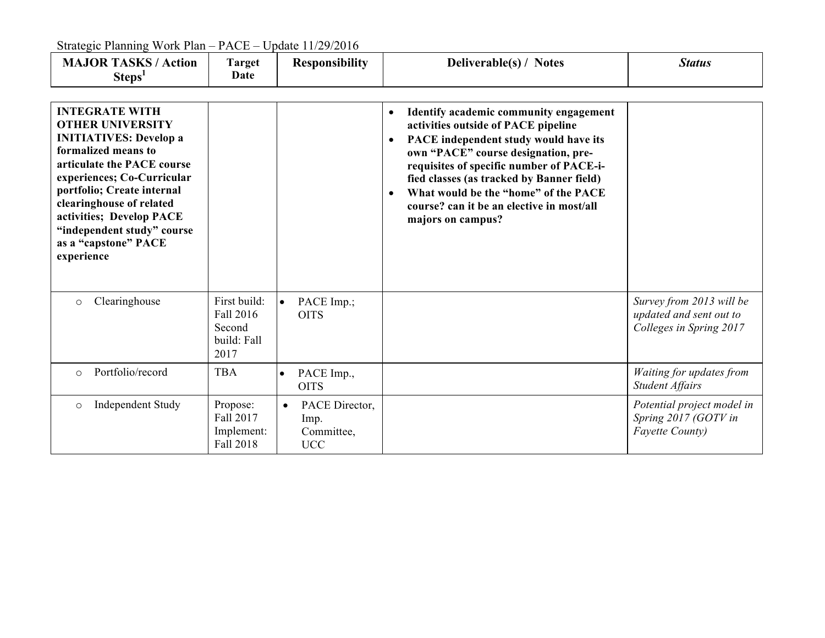| <b>MAJOR TASKS / Action</b><br>Steps <sup>1</sup>                                                                                                                                                                                                                                                                              | <b>Target</b><br>Date                                      | <b>Responsibility</b>                                           | Deliverable(s) / Notes                                                                                                                                                                                                                                                                                                                                                                                  | <b>Status</b>                                                                  |
|--------------------------------------------------------------------------------------------------------------------------------------------------------------------------------------------------------------------------------------------------------------------------------------------------------------------------------|------------------------------------------------------------|-----------------------------------------------------------------|---------------------------------------------------------------------------------------------------------------------------------------------------------------------------------------------------------------------------------------------------------------------------------------------------------------------------------------------------------------------------------------------------------|--------------------------------------------------------------------------------|
| <b>INTEGRATE WITH</b><br><b>OTHER UNIVERSITY</b><br><b>INITIATIVES: Develop a</b><br>formalized means to<br>articulate the PACE course<br>experiences; Co-Curricular<br>portfolio; Create internal<br>clearinghouse of related<br>activities; Develop PACE<br>"independent study" course<br>as a "capstone" PACE<br>experience |                                                            |                                                                 | Identify academic community engagement<br>$\bullet$<br>activities outside of PACE pipeline<br>PACE independent study would have its<br>$\bullet$<br>own "PACE" course designation, pre-<br>requisites of specific number of PACE-i-<br>fied classes (as tracked by Banner field)<br>What would be the "home" of the PACE<br>$\bullet$<br>course? can it be an elective in most/all<br>majors on campus? |                                                                                |
| Clearinghouse<br>$\circ$                                                                                                                                                                                                                                                                                                       | First build:<br>Fall 2016<br>Second<br>build: Fall<br>2017 | $\bullet$<br>PACE Imp.;<br><b>OITS</b>                          |                                                                                                                                                                                                                                                                                                                                                                                                         | Survey from 2013 will be<br>updated and sent out to<br>Colleges in Spring 2017 |
| Portfolio/record<br>$\circ$                                                                                                                                                                                                                                                                                                    | <b>TBA</b>                                                 | PACE Imp.,<br>$\bullet$<br><b>OITS</b>                          |                                                                                                                                                                                                                                                                                                                                                                                                         | Waiting for updates from<br><b>Student Affairs</b>                             |
| <b>Independent Study</b><br>$\circ$                                                                                                                                                                                                                                                                                            | Propose:<br>Fall 2017<br>Implement:<br>Fall 2018           | PACE Director,<br>$\bullet$<br>Imp.<br>Committee,<br><b>UCC</b> |                                                                                                                                                                                                                                                                                                                                                                                                         | Potential project model in<br>Spring 2017 (GOTV in<br><b>Fayette County)</b>   |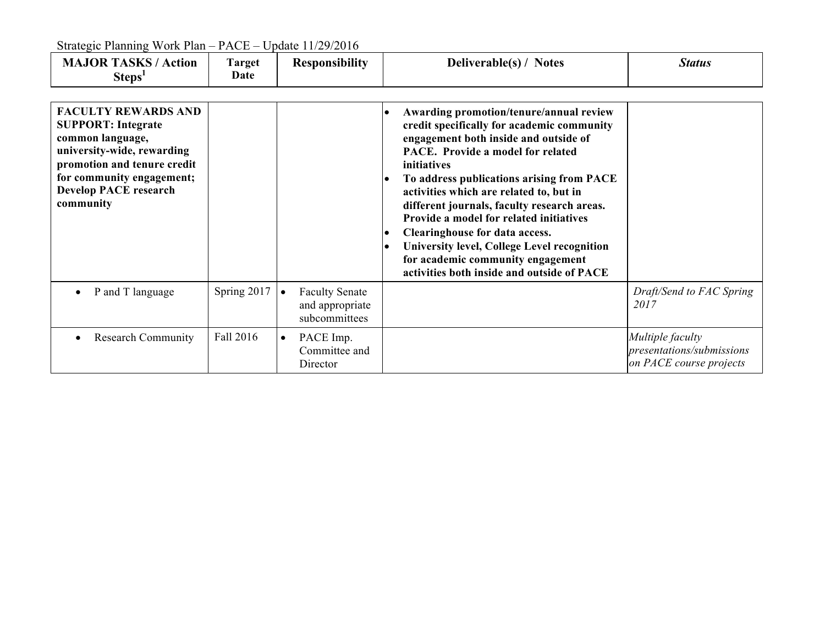| <b>MAJOR TASKS / Action</b><br>Steps <sup>1</sup>                                                                                                                                                                  | Target<br>Date |           | <b>Responsibility</b>                                     |                                                  | Deliverable(s) / Notes                                                                                                                                                                                                                                                                                                                                                                                                                                                                                                                   | <b>Status</b>                                                            |
|--------------------------------------------------------------------------------------------------------------------------------------------------------------------------------------------------------------------|----------------|-----------|-----------------------------------------------------------|--------------------------------------------------|------------------------------------------------------------------------------------------------------------------------------------------------------------------------------------------------------------------------------------------------------------------------------------------------------------------------------------------------------------------------------------------------------------------------------------------------------------------------------------------------------------------------------------------|--------------------------------------------------------------------------|
| <b>FACULTY REWARDS AND</b><br><b>SUPPORT: Integrate</b><br>common language,<br>university-wide, rewarding<br>promotion and tenure credit<br>for community engagement;<br><b>Develop PACE research</b><br>community |                |           |                                                           | $\bullet$<br>$\bullet$<br>$\bullet$<br>$\bullet$ | Awarding promotion/tenure/annual review<br>credit specifically for academic community<br>engagement both inside and outside of<br>PACE. Provide a model for related<br>initiatives<br>To address publications arising from PACE<br>activities which are related to, but in<br>different journals, faculty research areas.<br>Provide a model for related initiatives<br>Clearinghouse for data access.<br>University level, College Level recognition<br>for academic community engagement<br>activities both inside and outside of PACE |                                                                          |
| P and T language                                                                                                                                                                                                   | Spring 2017    | $\bullet$ | <b>Faculty Senate</b><br>and appropriate<br>subcommittees |                                                  |                                                                                                                                                                                                                                                                                                                                                                                                                                                                                                                                          | Draft/Send to FAC Spring<br>2017                                         |
| <b>Research Community</b>                                                                                                                                                                                          | Fall 2016      | $\bullet$ | PACE Imp.<br>Committee and<br>Director                    |                                                  |                                                                                                                                                                                                                                                                                                                                                                                                                                                                                                                                          | Multiple faculty<br>presentations/submissions<br>on PACE course projects |